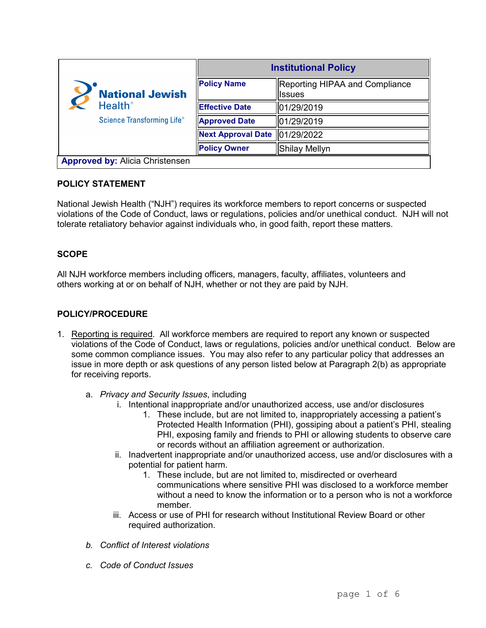| <b>National Jewish</b><br><b>Health</b> <sup>®</sup><br>Science Transforming Life® | <b>Institutional Policy</b> |                                                  |
|------------------------------------------------------------------------------------|-----------------------------|--------------------------------------------------|
|                                                                                    | <b>Policy Name</b>          | Reporting HIPAA and Compliance<br><b>I</b> ssues |
|                                                                                    | <b>Effective Date</b>       | 01/29/2019                                       |
|                                                                                    | <b>Approved Date</b>        | 101/29/2019                                      |
|                                                                                    | <b>Next Approval Date</b>   | 101/29/2022                                      |
|                                                                                    | <b>Policy Owner</b>         | Shilay Mellyn                                    |
| <b>Approved by: Alicia Christensen</b>                                             |                             |                                                  |

### **POLICY STATEMENT**

National Jewish Health ("NJH") requires its workforce members to report concerns or suspected violations of the Code of Conduct, laws or regulations, policies and/or unethical conduct. NJH will not tolerate retaliatory behavior against individuals who, in good faith, report these matters.

## **SCOPE**

All NJH workforce members including officers, managers, faculty, affiliates, volunteers and others working at or on behalf of NJH, whether or not they are paid by NJH.

### **POLICY/PROCEDURE**

- 1. Reporting is required. All workforce members are required to report any known or suspected violations of the Code of Conduct, laws or regulations, policies and/or unethical conduct. Below are some common compliance issues. You may also refer to any particular policy that addresses an issue in more depth or ask questions of any person listed below at Paragraph 2(b) as appropriate for receiving reports.
	- a. *Privacy and Security Issues*, including
		- i. Intentional inappropriate and/or unauthorized access, use and/or disclosures
			- 1. These include, but are not limited to, inappropriately accessing a patient's Protected Health Information (PHI), gossiping about a patient's PHI, stealing PHI, exposing family and friends to PHI or allowing students to observe care or records without an affiliation agreement or authorization.
		- ii. Inadvertent inappropriate and/or unauthorized access, use and/or disclosures with a potential for patient harm.
			- 1. These include, but are not limited to, misdirected or overheard communications where sensitive PHI was disclosed to a workforce member without a need to know the information or to a person who is not a workforce member.
		- iii. Access or use of PHI for research without Institutional Review Board or other required authorization.
	- *b. Conflict of Interest violations*
	- *c. Code of Conduct Issues*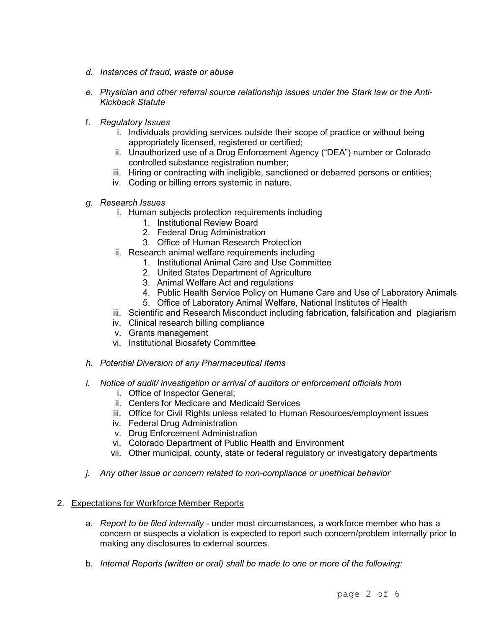- *d. Instances of fraud, waste or abuse*
- *e. Physician and other referral source relationship issues under the Stark law or the Anti-Kickback Statute*
- f. *Regulatory Issues*
	- i. Individuals providing services outside their scope of practice or without being appropriately licensed, registered or certified;
	- ii. Unauthorized use of a Drug Enforcement Agency ("DEA") number or Colorado controlled substance registration number;
	- iii. Hiring or contracting with ineligible, sanctioned or debarred persons or entities;
	- iv. Coding or billing errors systemic in nature.
- *g. Research Issues* 
	- i. Human subjects protection requirements including
		- 1. Institutional Review Board
		- 2. Federal Drug Administration
		- 3. Office of Human Research Protection
	- ii. Research animal welfare requirements including
		- 1. Institutional Animal Care and Use Committee
		- 2. United States Department of Agriculture
		- 3. Animal Welfare Act and regulations
		- 4. Public Health Service Policy on Humane Care and Use of Laboratory Animals
		- 5. Office of Laboratory Animal Welfare, National Institutes of Health
	- iii. Scientific and Research Misconduct including fabrication, falsification and plagiarism
	- iv. Clinical research billing compliance
	- v. Grants management
	- vi. Institutional Biosafety Committee
- *h. Potential Diversion of any Pharmaceutical Items*
- *i. Notice of audit/ investigation or arrival of auditors or enforcement officials from* 
	- i. Office of Inspector General;
	- ii. Centers for Medicare and Medicaid Services
	- iii. Office for Civil Rights unless related to Human Resources/employment issues
	- iv. Federal Drug Administration
	- v. Drug Enforcement Administration
	- vi. Colorado Department of Public Health and Environment
	- vii. Other municipal, county, state or federal regulatory or investigatory departments
- *j. Any other issue or concern related to non-compliance or unethical behavior*
- 2. Expectations for Workforce Member Reports
	- a. *Report to be filed internally* under most circumstances, a workforce member who has a concern or suspects a violation is expected to report such concern/problem internally prior to making any disclosures to external sources.
	- b. *Internal Reports (written or oral) shall be made to one or more of the following:*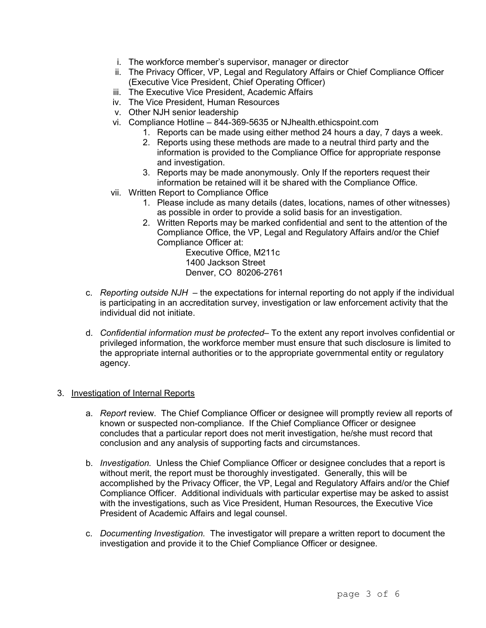- i. The workforce member's supervisor, manager or director
- ii. The Privacy Officer, VP, Legal and Regulatory Affairs or Chief Compliance Officer (Executive Vice President, Chief Operating Officer)
- iii. The Executive Vice President, Academic Affairs
- iv. The Vice President, Human Resources
- v. Other NJH senior leadership
- vi. Compliance Hotline 844-369-5635 or NJhealth.ethicspoint.com
	- 1. Reports can be made using either method 24 hours a day, 7 days a week.
	- 2. Reports using these methods are made to a neutral third party and the information is provided to the Compliance Office for appropriate response and investigation.
	- 3. Reports may be made anonymously. Only If the reporters request their information be retained will it be shared with the Compliance Office.
- vii. Written Report to Compliance Office
	- 1. Please include as many details (dates, locations, names of other witnesses) as possible in order to provide a solid basis for an investigation.
	- 2. Written Reports may be marked confidential and sent to the attention of the Compliance Office, the VP, Legal and Regulatory Affairs and/or the Chief Compliance Officer at:

Executive Office, M211c 1400 Jackson Street Denver, CO 80206-2761

- c. *Reporting outside NJH*  the expectations for internal reporting do not apply if the individual is participating in an accreditation survey, investigation or law enforcement activity that the individual did not initiate.
- d. *Confidential information must be protected* To the extent any report involves confidential or privileged information, the workforce member must ensure that such disclosure is limited to the appropriate internal authorities or to the appropriate governmental entity or regulatory agency.

### 3. Investigation of Internal Reports

- a. *Report* review. The Chief Compliance Officer or designee will promptly review all reports of known or suspected non-compliance. If the Chief Compliance Officer or designee concludes that a particular report does not merit investigation, he/she must record that conclusion and any analysis of supporting facts and circumstances.
- b. *Investigation.* Unless the Chief Compliance Officer or designee concludes that a report is without merit, the report must be thoroughly investigated. Generally, this will be accomplished by the Privacy Officer, the VP, Legal and Regulatory Affairs and/or the Chief Compliance Officer. Additional individuals with particular expertise may be asked to assist with the investigations, such as Vice President, Human Resources, the Executive Vice President of Academic Affairs and legal counsel.
- c. *Documenting Investigation.* The investigator will prepare a written report to document the investigation and provide it to the Chief Compliance Officer or designee.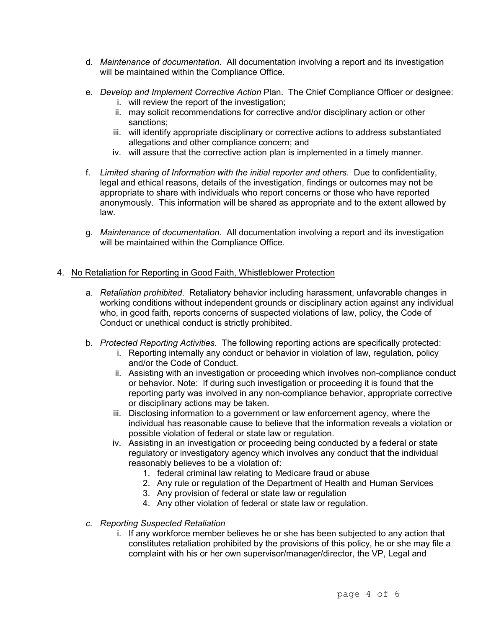- d. *Maintenance of documentation.* All documentation involving a report and its investigation will be maintained within the Compliance Office.
- e. *Develop and Implement Corrective Action* Plan. The Chief Compliance Officer or designee:
	- i. will review the report of the investigation;
	- ii. may solicit recommendations for corrective and/or disciplinary action or other sanctions;
	- iii. will identify appropriate disciplinary or corrective actions to address substantiated allegations and other compliance concern; and
	- iv. will assure that the corrective action plan is implemented in a timely manner.
- f. *Limited sharing of Information with the initial reporter and others.* Due to confidentiality, legal and ethical reasons, details of the investigation, findings or outcomes may not be appropriate to share with individuals who report concerns or those who have reported anonymously. This information will be shared as appropriate and to the extent allowed by law.
- g. *Maintenance of documentation.* All documentation involving a report and its investigation will be maintained within the Compliance Office.

# 4. No Retaliation for Reporting in Good Faith, Whistleblower Protection

- a. *Retaliation prohibited*. Retaliatory behavior including harassment, unfavorable changes in working conditions without independent grounds or disciplinary action against any individual who, in good faith, reports concerns of suspected violations of law, policy, the Code of Conduct or unethical conduct is strictly prohibited.
- b. *Protected Reporting Activities*. The following reporting actions are specifically protected:
	- i. Reporting internally any conduct or behavior in violation of law, regulation, policy and/or the Code of Conduct.
	- ii. Assisting with an investigation or proceeding which involves non-compliance conduct or behavior. Note: If during such investigation or proceeding it is found that the reporting party was involved in any non-compliance behavior, appropriate corrective or disciplinary actions may be taken.
	- iii. Disclosing information to a government or law enforcement agency, where the individual has reasonable cause to believe that the information reveals a violation or possible violation of federal or state law or regulation.
	- iv. Assisting in an investigation or proceeding being conducted by a federal or state regulatory or investigatory agency which involves any conduct that the individual reasonably believes to be a violation of:
		- 1. federal criminal law relating to Medicare fraud or abuse
		- 2. Any rule or regulation of the Department of Health and Human Services
		- 3. Any provision of federal or state law or regulation
		- 4. Any other violation of federal or state law or regulation.
- *c. Reporting Suspected Retaliation* 
	- i. If any workforce member believes he or she has been subjected to any action that constitutes retaliation prohibited by the provisions of this policy, he or she may file a complaint with his or her own supervisor/manager/director, the VP, Legal and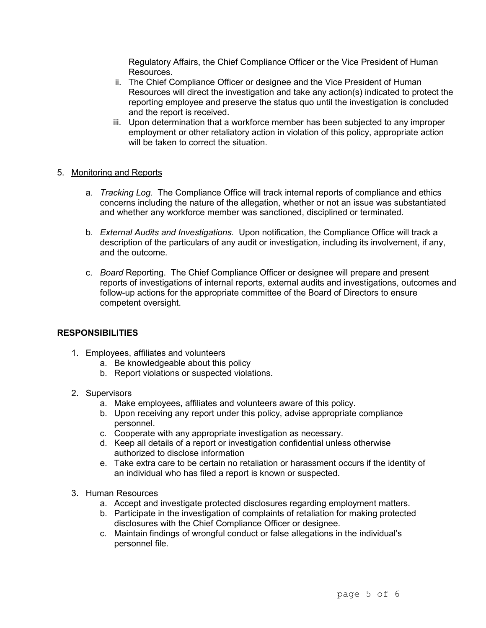Regulatory Affairs, the Chief Compliance Officer or the Vice President of Human Resources.

- ii. The Chief Compliance Officer or designee and the Vice President of Human Resources will direct the investigation and take any action(s) indicated to protect the reporting employee and preserve the status quo until the investigation is concluded and the report is received.
- iii. Upon determination that a workforce member has been subjected to any improper employment or other retaliatory action in violation of this policy, appropriate action will be taken to correct the situation

### 5. Monitoring and Reports

- a. *Tracking Log.* The Compliance Office will track internal reports of compliance and ethics concerns including the nature of the allegation, whether or not an issue was substantiated and whether any workforce member was sanctioned, disciplined or terminated.
- b. *External Audits and Investigations.* Upon notification, the Compliance Office will track a description of the particulars of any audit or investigation, including its involvement, if any, and the outcome.
- c. *Board* Reporting. The Chief Compliance Officer or designee will prepare and present reports of investigations of internal reports, external audits and investigations, outcomes and follow-up actions for the appropriate committee of the Board of Directors to ensure competent oversight.

### **RESPONSIBILITIES**

- 1. Employees, affiliates and volunteers
	- a. Be knowledgeable about this policy
	- b. Report violations or suspected violations.
- 2. Supervisors
	- a. Make employees, affiliates and volunteers aware of this policy.
	- b. Upon receiving any report under this policy, advise appropriate compliance personnel.
	- c. Cooperate with any appropriate investigation as necessary.
	- d. Keep all details of a report or investigation confidential unless otherwise authorized to disclose information
	- e. Take extra care to be certain no retaliation or harassment occurs if the identity of an individual who has filed a report is known or suspected.
- 3. Human Resources
	- a. Accept and investigate protected disclosures regarding employment matters.
	- b. Participate in the investigation of complaints of retaliation for making protected disclosures with the Chief Compliance Officer or designee.
	- c. Maintain findings of wrongful conduct or false allegations in the individual's personnel file.